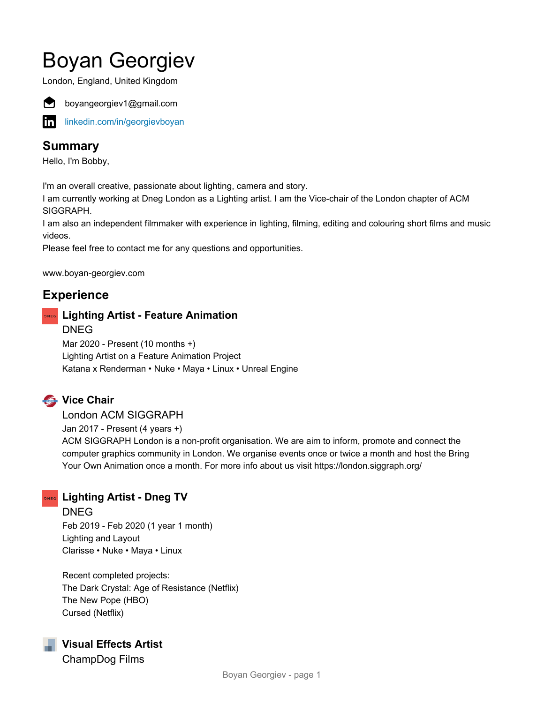# Boyan Georgiev

London, England, United Kingdom



boyangeorgiev1@gmail.com

inl [linkedin.com/in/georgievboyan](https://www.linkedin.com/in/georgievboyan)

# **Summary**

Hello, I'm Bobby,

I'm an overall creative, passionate about lighting, camera and story.

I am currently working at Dneg London as a Lighting artist. I am the Vice-chair of the London chapter of ACM SIGGRAPH.

I am also an independent filmmaker with experience in lighting, filming, editing and colouring short films and music videos.

Please feel free to contact me for any questions and opportunities.

www.boyan-georgiev.com

# **Experience**

#### **DNEG** Lighting Artist - Feature Animation DNEG Mar 2020 - Present (10 months +) Lighting Artist on a Feature Animation Project Katana x Renderman • Nuke • Maya • Linux • Unreal Engine

# **Vice Chair**

London ACM SIGGRAPH Jan 2017 - Present (4 years +) ACM SIGGRAPH London is a non-profit organisation. We are aim to inform, promote and connect the computer graphics community in London. We organise events once or twice a month and host the Bring Your Own Animation once a month. For more info about us visit https://london.siggraph.org/

# **DNEG** Lighting Artist - Dneg TV

DNEG Feb 2019 - Feb 2020 (1 year 1 month) Lighting and Layout Clarisse • Nuke • Maya • Linux

Recent completed projects: The Dark Crystal: Age of Resistance (Netflix) The New Pope (HBO) Cursed (Netflix)



ChampDog Films